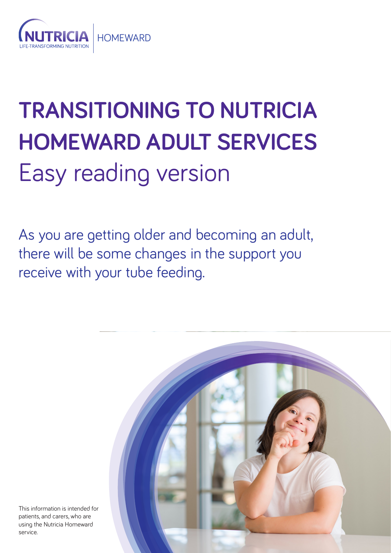

# **TRANSITIONING TO NUTRICIA HOMEWARD ADULT SERVICES** Easy reading version

As you are getting older and becoming an adult, there will be some changes in the support you receive with your tube feeding.



This information is intended for patients, and carers, who are using the Nutricia Homeward service.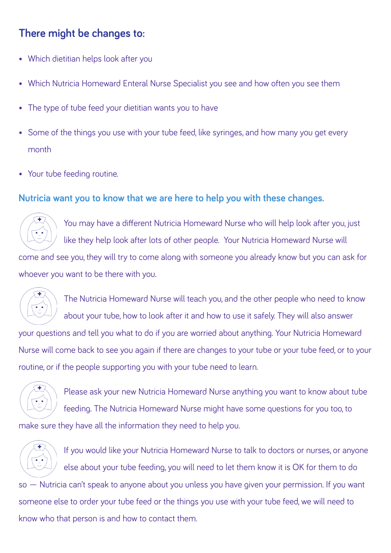## **There might be changes to:**

- Which dietitian helps look after you
- Which Nutricia Homeward Enteral Nurse Specialist you see and how often you see them
- The type of tube feed your dietitian wants you to have
- Some of the things you use with your tube feed, like syringes, and how many you get every month
- Your tube feeding routine.

#### **Nutricia want you to know that we are here to help you with these changes.**



You may have a different Nutricia Homeward Nurse who will help look after you, just like they help look after lots of other people. Your Nutricia Homeward Nurse will

come and see you, they will try to come along with someone you already know but you can ask for whoever you want to be there with you.



The Nutricia Homeward Nurse will teach you, and the other people who need to know about your tube, how to look after it and how to use it safely. They will also answer your questions and tell you what to do if you are worried about anything. Your Nutricia Homeward Nurse will come back to see you again if there are changes to your tube or your tube feed, or to your routine, or if the people supporting you with your tube need to learn.



Please ask your new Nutricia Homeward Nurse anything you want to know about tube feeding. The Nutricia Homeward Nurse might have some questions for you too, to make sure they have all the information they need to help you.



If you would like your Nutricia Homeward Nurse to talk to doctors or nurses, or anyone else about your tube feeding, you will need to let them know it is OK for them to do so — Nutricia can't speak to anyone about you unless you have given your permission. If you want someone else to order your tube feed or the things you use with your tube feed, we will need to know who that person is and how to contact them.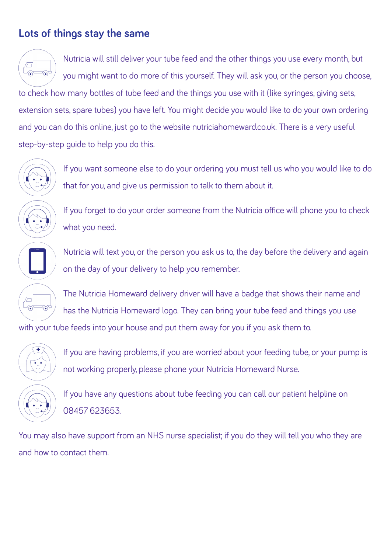## **Lots of things stay the same**

Nutricia will still deliver your tube feed and the other things you use every month, but  $\sqrt{\Box}$ ە you might want to do more of this yourself. They will ask you, or the person you choose, to check how many bottles of tube feed and the things you use with it (like syringes, giving sets, extension sets, spare tubes) you have left. You might decide you would like to do your own ordering and you can do this online, just go to the website nutriciahomeward.co.uk. There is a very useful step-by-step guide to help you do this.



If you want someone else to do your ordering you must tell us who you would like to do that for you, and give us permission to talk to them about it.



If you forget to do your order someone from the Nutricia office will phone you to check what you need.

Nutricia will text you, or the person you ask us to, the day before the delivery and again on the day of your delivery to help you remember.

 $\sqrt{\square}$  $\widehat{\bullet}$ ∡ล

The Nutricia Homeward delivery driver will have a badge that shows their name and has the Nutricia Homeward logo. They can bring your tube feed and things you use

with your tube feeds into your house and put them away for you if you ask them to.



If you are having problems, if you are worried about your feeding tube, or your pump is not working properly, please phone your Nutricia Homeward Nurse.

If you have any questions about tube feeding you can call our patient helpline on 08457 623653.

You may also have support from an NHS nurse specialist; if you do they will tell you who they are and how to contact them.